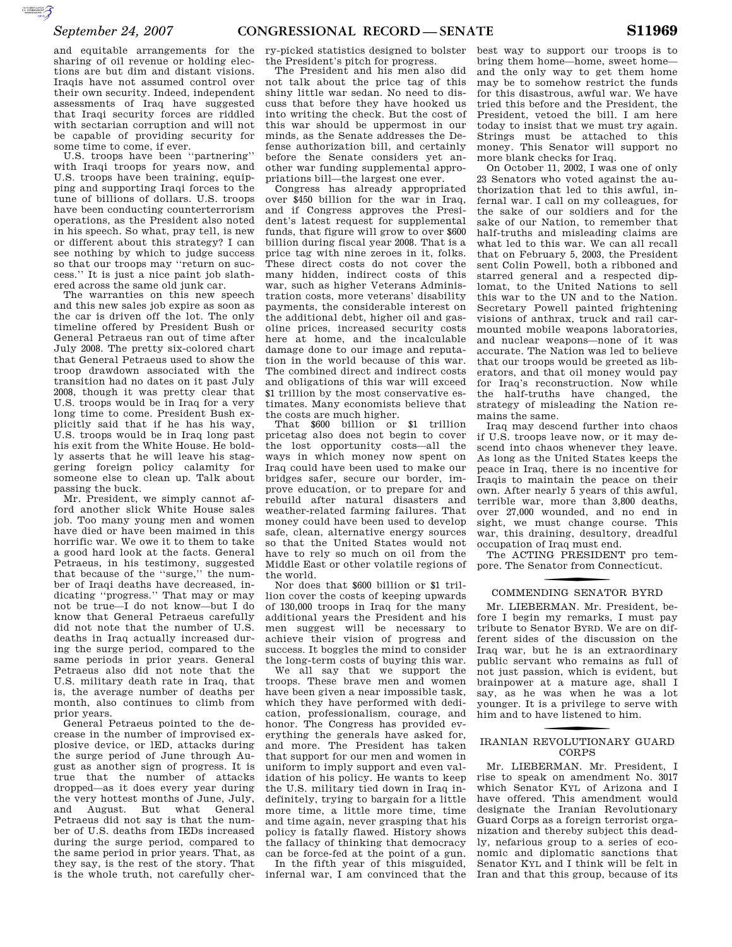$\mathcal{F}$ 

and equitable arrangements for the sharing of oil revenue or holding elections are but dim and distant visions. Iraqis have not assumed control over their own security. Indeed, independent assessments of Iraq have suggested that Iraqi security forces are riddled with sectarian corruption and will not be capable of providing security for some time to come, if ever.

U.S. troops have been ''partnering'' with Iraqi troops for years now, and U.S. troops have been training, equipping and supporting Iraqi forces to the tune of billions of dollars. U.S. troops have been conducting counterterrorism operations, as the President also noted in his speech. So what, pray tell, is new or different about this strategy? I can see nothing by which to judge success so that our troops may ''return on success.'' It is just a nice paint job slathered across the same old junk car.

The warranties on this new speech and this new sales job expire as soon as the car is driven off the lot. The only timeline offered by President Bush or General Petraeus ran out of time after July 2008. The pretty six-colored chart that General Petraeus used to show the troop drawdown associated with the transition had no dates on it past July 2008, though it was pretty clear that U.S. troops would be in Iraq for a very long time to come. President Bush explicitly said that if he has his way, U.S. troops would be in Iraq long past his exit from the White House. He boldly asserts that he will leave his staggering foreign policy calamity for someone else to clean up. Talk about passing the buck.

Mr. President, we simply cannot afford another slick White House sales job. Too many young men and women have died or have been maimed in this horrific war. We owe it to them to take a good hard look at the facts. General Petraeus, in his testimony, suggested that because of the ''surge,'' the number of Iraqi deaths have decreased, indicating ''progress.'' That may or may not be true—I do not know—but I do know that General Petraeus carefully did not note that the number of U.S. deaths in Iraq actually increased during the surge period, compared to the same periods in prior years. General Petraeus also did not note that the U.S. military death rate in Iraq, that is, the average number of deaths per month, also continues to climb from prior years.

General Petraeus pointed to the decrease in the number of improvised explosive device, or lED, attacks during the surge period of June through August as another sign of progress. It is true that the number of attacks dropped—as it does every year during the very hottest months of June, July, and August. But what General Petraeus did not say is that the number of U.S. deaths from IEDs increased during the surge period, compared to the same period in prior years. That, as they say, is the rest of the story. That is the whole truth, not carefully cher-

ry-picked statistics designed to bolster the President's pitch for progress.

The President and his men also did not talk about the price tag of this shiny little war sedan. No need to discuss that before they have hooked us into writing the check. But the cost of this war should be uppermost in our minds, as the Senate addresses the Defense authorization bill, and certainly before the Senate considers yet another war funding supplemental appropriations bill—the largest one ever.

Congress has already appropriated over \$450 billion for the war in Iraq, and if Congress approves the President's latest request for supplemental funds, that figure will grow to over \$600 billion during fiscal year 2008. That is a price tag with nine zeroes in it, folks. These direct costs do not cover the many hidden, indirect costs of this war, such as higher Veterans Administration costs, more veterans' disability payments, the considerable interest on the additional debt, higher oil and gasoline prices, increased security costs here at home, and the incalculable damage done to our image and reputation in the world because of this war. The combined direct and indirect costs and obligations of this war will exceed \$1 trillion by the most conservative estimates. Many economists believe that the costs are much higher.

That  $$600$  billion or \$1 trillion pricetag also does not begin to cover the lost opportunity costs—all the ways in which money now spent on Iraq could have been used to make our bridges safer, secure our border, improve education, or to prepare for and rebuild after natural disasters and weather-related farming failures. That money could have been used to develop safe, clean, alternative energy sources so that the United States would not have to rely so much on oil from the Middle East or other volatile regions of the world.

Nor does that \$600 billion or \$1 trillion cover the costs of keeping upwards of 130,000 troops in Iraq for the many additional years the President and his men suggest will be necessary to achieve their vision of progress and success. It boggles the mind to consider the long-term costs of buying this war.

We all say that we support the troops. These brave men and women have been given a near impossible task, which they have performed with dedication, professionalism, courage, and honor. The Congress has provided everything the generals have asked for, and more. The President has taken that support for our men and women in uniform to imply support and even validation of his policy. He wants to keep the U.S. military tied down in Iraq indefinitely, trying to bargain for a little more time, a little more time, time and time again, never grasping that his policy is fatally flawed. History shows the fallacy of thinking that democracy can be force-fed at the point of a gun.

In the fifth year of this misguided, infernal war, I am convinced that the

best way to support our troops is to bring them home—home, sweet home and the only way to get them home may be to somehow restrict the funds for this disastrous, awful war. We have tried this before and the President, the President, vetoed the bill. I am here today to insist that we must try again. Strings must be attached to this money. This Senator will support no more blank checks for Iraq.

On October 11, 2002, I was one of only 23 Senators who voted against the authorization that led to this awful, infernal war. I call on my colleagues, for the sake of our soldiers and for the sake of our Nation, to remember that half-truths and misleading claims are what led to this war. We can all recall that on February 5, 2003, the President sent Colin Powell, both a ribboned and starred general and a respected diplomat, to the United Nations to sell this war to the UN and to the Nation. Secretary Powell painted frightening visions of anthrax, truck and rail carmounted mobile weapons laboratories, and nuclear weapons—none of it was accurate. The Nation was led to believe that our troops would be greeted as liberators, and that oil money would pay for Iraq's reconstruction. Now while the half-truths have changed, the strategy of misleading the Nation remains the same.

Iraq may descend further into chaos if U.S. troops leave now, or it may descend into chaos whenever they leave. As long as the United States keeps the peace in Iraq, there is no incentive for Iraqis to maintain the peace on their own. After nearly 5 years of this awful, terrible war, more than 3,800 deaths, over 27,000 wounded, and no end in sight, we must change course. This war, this draining, desultory, dreadful occupation of Iraq must end.

The ACTING PRESIDENT pro tempore. The Senator from Connecticut.

# COMMENDING SENATOR BYRD

Mr. LIEBERMAN. Mr. President, before I begin my remarks, I must pay tribute to Senator BYRD. We are on different sides of the discussion on the Iraq war, but he is an extraordinary public servant who remains as full of not just passion, which is evident, but brainpower at a mature age, shall I say, as he was when he was a lot younger. It is a privilege to serve with him and to have listened to him.

### f IRANIAN REVOLUTIONARY GUARD CORPS

Mr. LIEBERMAN. Mr. President, I rise to speak on amendment No. 3017 which Senator KYL of Arizona and I have offered. This amendment would designate the Iranian Revolutionary Guard Corps as a foreign terrorist organization and thereby subject this deadly, nefarious group to a series of economic and diplomatic sanctions that Senator KYL and I think will be felt in Iran and that this group, because of its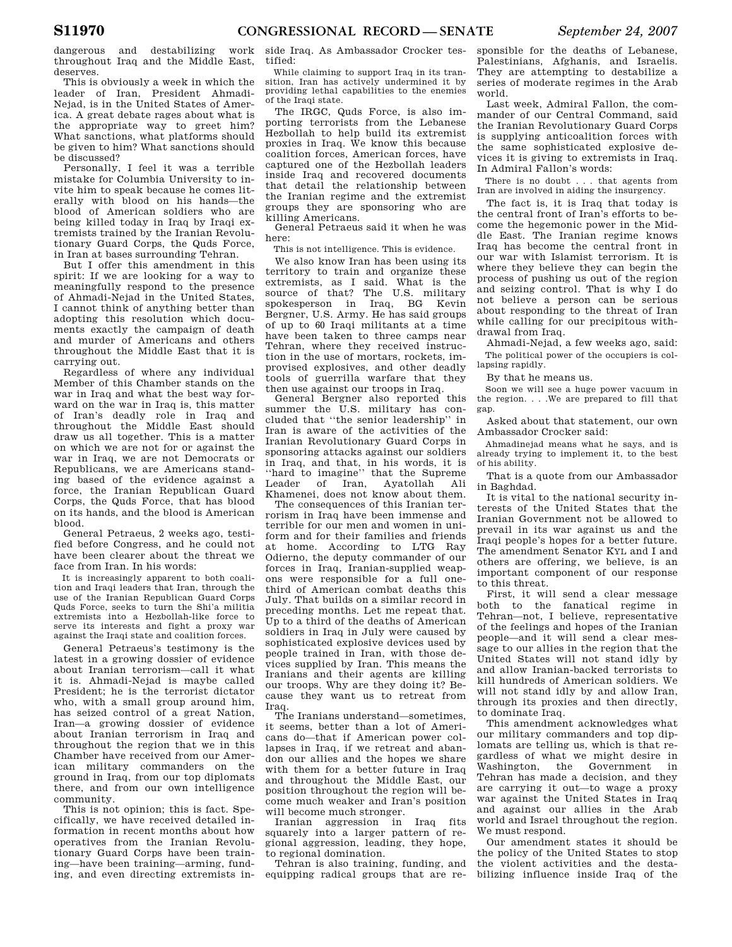dangerous and destabilizing work throughout Iraq and the Middle East, deserves.

This is obviously a week in which the leader of Iran, President Ahmadi-Nejad, is in the United States of America. A great debate rages about what is the appropriate way to greet him? What sanctions, what platforms should be given to him? What sanctions should be discussed?

Personally, I feel it was a terrible mistake for Columbia University to invite him to speak because he comes literally with blood on his hands—the blood of American soldiers who are being killed today in Iraq by Iraqi extremists trained by the Iranian Revolutionary Guard Corps, the Quds Force, in Iran at bases surrounding Tehran.

But I offer this amendment in this spirit: If we are looking for a way to meaningfully respond to the presence of Ahmadi-Nejad in the United States, I cannot think of anything better than adopting this resolution which documents exactly the campaign of death and murder of Americans and others throughout the Middle East that it is carrying out.

Regardless of where any individual Member of this Chamber stands on the war in Iraq and what the best way forward on the war in Iraq is, this matter of Iran's deadly role in Iraq and throughout the Middle East should draw us all together. This is a matter on which we are not for or against the war in Iraq, we are not Democrats or Republicans, we are Americans standing based of the evidence against a force, the Iranian Republican Guard Corps, the Quds Force, that has blood on its hands, and the blood is American blood.

General Petraeus, 2 weeks ago, testified before Congress, and he could not have been clearer about the threat we face from Iran. In his words:

It is increasingly apparent to both coalition and Iraqi leaders that Iran, through the use of the Iranian Republican Guard Corps Quds Force, seeks to turn the Shi'a militia extremists into a Hezbollah-like force to serve its interests and fight a proxy war against the Iraqi state and coalition forces.

General Petraeus's testimony is the latest in a growing dossier of evidence about Iranian terrorism—call it what it is. Ahmadi-Nejad is maybe called President; he is the terrorist dictator who, with a small group around him, has seized control of a great Nation, Iran—a growing dossier of evidence about Iranian terrorism in Iraq and throughout the region that we in this Chamber have received from our American military commanders on the ground in Iraq, from our top diplomats there, and from our own intelligence community.

This is not opinion; this is fact. Specifically, we have received detailed information in recent months about how operatives from the Iranian Revolutionary Guard Corps have been training—have been training—arming, funding, and even directing extremists inside Iraq. As Ambassador Crocker testified:

While claiming to support Iraq in its transition, Iran has actively undermined it by providing lethal capabilities to the enemies of the Iraqi state.

The IRGC, Quds Force, is also importing terrorists from the Lebanese Hezbollah to help build its extremist proxies in Iraq. We know this because coalition forces, American forces, have captured one of the Hezbollah leaders inside Iraq and recovered documents that detail the relationship between the Iranian regime and the extremist groups they are sponsoring who are killing Americans.

General Petraeus said it when he was here:

This is not intelligence. This is evidence.

We also know Iran has been using its territory to train and organize these extremists, as I said. What is the source of that? The U.S. military spokesperson in Iraq, BG Kevin Bergner, U.S. Army. He has said groups of up to 60 Iraqi militants at a time have been taken to three camps near Tehran, where they received instruction in the use of mortars, rockets, improvised explosives, and other deadly tools of guerrilla warfare that they then use against our troops in Iraq.

General Bergner also reported this summer the U.S. military has concluded that ''the senior leadership'' in Iran is aware of the activities of the Iranian Revolutionary Guard Corps in sponsoring attacks against our soldiers in Iraq, and that, in his words, it is ''hard to imagine'' that the Supreme Leader of Iran, Ayatollah Ali Khamenei, does not know about them.

The consequences of this Iranian terrorism in Iraq have been immense and terrible for our men and women in uniform and for their families and friends at home. According to LTG Ray Odierno, the deputy commander of our forces in Iraq, Iranian-supplied weapons were responsible for a full onethird of American combat deaths this July. That builds on a similar record in preceding months. Let me repeat that. Up to a third of the deaths of American soldiers in Iraq in July were caused by sophisticated explosive devices used by people trained in Iran, with those devices supplied by Iran. This means the Iranians and their agents are killing our troops. Why are they doing it? Because they want us to retreat from Iraq.

The Iranians understand—sometimes, it seems, better than a lot of Americans do—that if American power collapses in Iraq, if we retreat and abandon our allies and the hopes we share with them for a better future in Iraq and throughout the Middle East, our position throughout the region will become much weaker and Iran's position will become much stronger.

Iranian aggression in Iraq fits squarely into a larger pattern of regional aggression, leading, they hope, to regional domination.

Tehran is also training, funding, and equipping radical groups that are responsible for the deaths of Lebanese, Palestinians, Afghanis, and Israelis. They are attempting to destabilize a series of moderate regimes in the Arab world.

Last week, Admiral Fallon, the commander of our Central Command, said the Iranian Revolutionary Guard Corps is supplying anticoalition forces with the same sophisticated explosive devices it is giving to extremists in Iraq. In Admiral Fallon's words:

There is no doubt . . . that agents from Iran are involved in aiding the insurgency.

The fact is, it is Iraq that today is the central front of Iran's efforts to become the hegemonic power in the Middle East. The Iranian regime knows Iraq has become the central front in our war with Islamist terrorism. It is where they believe they can begin the process of pushing us out of the region and seizing control. That is why I do not believe a person can be serious about responding to the threat of Iran while calling for our precipitous withdrawal from Iraq.

Ahmadi-Nejad, a few weeks ago, said: The political power of the occupiers is collapsing rapidly.

By that he means us.

Soon we will see a huge power vacuum in the region. . . .We are prepared to fill that gap.

Asked about that statement, our own Ambassador Crocker said:

Ahmadinejad means what he says, and is already trying to implement it, to the best of his ability.

That is a quote from our Ambassador in Baghdad.

It is vital to the national security interests of the United States that the Iranian Government not be allowed to prevail in its war against us and the Iraqi people's hopes for a better future. The amendment Senator KYL and I and others are offering, we believe, is an important component of our response to this threat.

First, it will send a clear message both to the fanatical regime in Tehran—not, I believe, representative of the feelings and hopes of the Iranian people—and it will send a clear message to our allies in the region that the United States will not stand idly by and allow Iranian-backed terrorists to kill hundreds of American soldiers. We will not stand idly by and allow Iran, through its proxies and then directly, to dominate Iraq.

This amendment acknowledges what our military commanders and top diplomats are telling us, which is that regardless of what we might desire in Washington, the Government in Tehran has made a decision, and they are carrying it out—to wage a proxy war against the United States in Iraq and against our allies in the Arab world and Israel throughout the region. We must respond.

Our amendment states it should be the policy of the United States to stop the violent activities and the destabilizing influence inside Iraq of the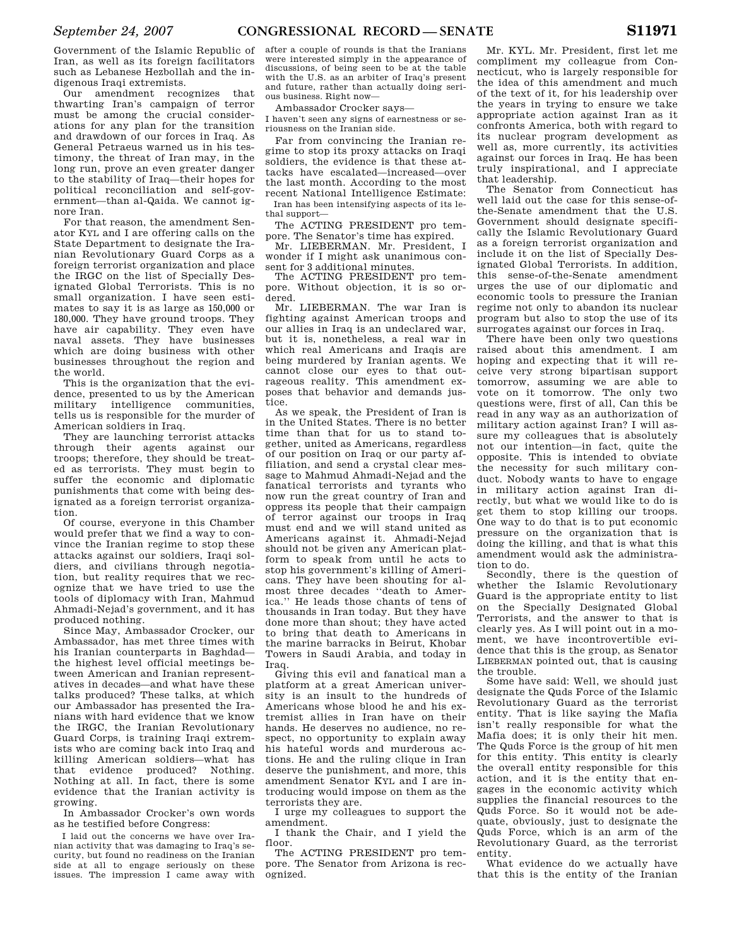Government of the Islamic Republic of Iran, as well as its foreign facilitators such as Lebanese Hezbollah and the indigenous Iraqi extremists.

Our amendment recognizes that thwarting Iran's campaign of terror must be among the crucial considerations for any plan for the transition and drawdown of our forces in Iraq. As General Petraeus warned us in his testimony, the threat of Iran may, in the long run, prove an even greater danger to the stability of Iraq—their hopes for political reconciliation and self-government—than al-Qaida. We cannot ignore Iran.

For that reason, the amendment Senator KYL and I are offering calls on the State Department to designate the Iranian Revolutionary Guard Corps as a foreign terrorist organization and place the IRGC on the list of Specially Designated Global Terrorists. This is no small organization. I have seen estimates to say it is as large as 150,000 or 180,000. They have ground troops. They have air capability. They even have naval assets. They have businesses which are doing business with other businesses throughout the region and the world.

This is the organization that the evidence, presented to us by the American military intelligence communities, tells us is responsible for the murder of American soldiers in Iraq.

They are launching terrorist attacks through their agents against our troops; therefore, they should be treated as terrorists. They must begin to suffer the economic and diplomatic punishments that come with being designated as a foreign terrorist organization.

Of course, everyone in this Chamber would prefer that we find a way to convince the Iranian regime to stop these attacks against our soldiers, Iraqi soldiers, and civilians through negotiation, but reality requires that we recognize that we have tried to use the tools of diplomacy with Iran, Mahmud Ahmadi-Nejad's government, and it has produced nothing.

Since May, Ambassador Crocker, our Ambassador, has met three times with his Iranian counterparts in Baghdad the highest level official meetings between American and Iranian representatives in decades—and what have these talks produced? These talks, at which our Ambassador has presented the Iranians with hard evidence that we know the IRGC, the Iranian Revolutionary Guard Corps, is training Iraqi extremists who are coming back into Iraq and killing American soldiers—what has that evidence produced? Nothing. Nothing at all. In fact, there is some evidence that the Iranian activity is growing.

In Ambassador Crocker's own words as he testified before Congress:

I laid out the concerns we have over Iranian activity that was damaging to Iraq's security, but found no readiness on the Iranian side at all to engage seriously on these issues. The impression I came away with after a couple of rounds is that the Iranians were interested simply in the appearance of discussions, of being seen to be at the table with the U.S. as an arbiter of Iraq's present and future, rather than actually doing serious business. Right now—

Ambassador Crocker says—

I haven't seen any signs of earnestness or seriousness on the Iranian side.

Far from convincing the Iranian regime to stop its proxy attacks on Iraqi soldiers, the evidence is that these attacks have escalated—increased—over the last month. According to the most recent National Intelligence Estimate: Iran has been intensifying aspects of its lethal support—

The ACTING PRESIDENT pro tempore. The Senator's time has expired.

Mr. LIEBERMAN. Mr. President, I wonder if I might ask unanimous consent for 3 additional minutes.

The ACTING PRESIDENT pro tempore. Without objection, it is so ordered.

Mr. LIEBERMAN. The war Iran is fighting against American troops and our allies in Iraq is an undeclared war, but it is, nonetheless, a real war in which real Americans and Iraqis are being murdered by Iranian agents. We cannot close our eyes to that outrageous reality. This amendment exposes that behavior and demands justice.

As we speak, the President of Iran is in the United States. There is no better time than that for us to stand together, united as Americans, regardless of our position on Iraq or our party affiliation, and send a crystal clear message to Mahmud Ahmadi-Nejad and the fanatical terrorists and tyrants who now run the great country of Iran and oppress its people that their campaign of terror against our troops in Iraq must end and we will stand united as Americans against it. Ahmadi-Nejad should not be given any American platform to speak from until he acts to stop his government's killing of Americans. They have been shouting for almost three decades ''death to America.'' He leads those chants of tens of thousands in Iran today. But they have done more than shout; they have acted to bring that death to Americans in the marine barracks in Beirut, Khobar Towers in Saudi Arabia, and today in Iraq.

Giving this evil and fanatical man a platform at a great American university is an insult to the hundreds of Americans whose blood he and his extremist allies in Iran have on their hands. He deserves no audience, no respect, no opportunity to explain away his hateful words and murderous actions. He and the ruling clique in Iran deserve the punishment, and more, this amendment Senator KYL and I are introducing would impose on them as the terrorists they are.

I urge my colleagues to support the amendment.

I thank the Chair, and I yield the floor.

The ACTING PRESIDENT pro tempore. The Senator from Arizona is recognized.

Mr. KYL. Mr. President, first let me compliment my colleague from Connecticut, who is largely responsible for the idea of this amendment and much of the text of it, for his leadership over the years in trying to ensure we take appropriate action against Iran as it confronts America, both with regard to its nuclear program development as well as, more currently, its activities against our forces in Iraq. He has been truly inspirational, and I appreciate that leadership.

The Senator from Connecticut has well laid out the case for this sense-ofthe-Senate amendment that the U.S. Government should designate specifically the Islamic Revolutionary Guard as a foreign terrorist organization and include it on the list of Specially Designated Global Terrorists. In addition, this sense-of-the-Senate amendment urges the use of our diplomatic and economic tools to pressure the Iranian regime not only to abandon its nuclear program but also to stop the use of its surrogates against our forces in Iraq.

There have been only two questions raised about this amendment. I am hoping and expecting that it will receive very strong bipartisan support tomorrow, assuming we are able to vote on it tomorrow. The only two questions were, first of all, Can this be read in any way as an authorization of military action against Iran? I will assure my colleagues that is absolutely not our intention—in fact, quite the opposite. This is intended to obviate the necessity for such military conduct. Nobody wants to have to engage in military action against Iran directly, but what we would like to do is get them to stop killing our troops. One way to do that is to put economic pressure on the organization that is doing the killing, and that is what this amendment would ask the administration to do.

Secondly, there is the question of whether the Islamic Revolutionary Guard is the appropriate entity to list on the Specially Designated Global Terrorists, and the answer to that is clearly yes. As I will point out in a moment, we have incontrovertible evidence that this is the group, as Senator LIEBERMAN pointed out, that is causing the trouble.

Some have said: Well, we should just designate the Quds Force of the Islamic Revolutionary Guard as the terrorist entity. That is like saying the Mafia isn't really responsible for what the Mafia does; it is only their hit men. The Quds Force is the group of hit men for this entity. This entity is clearly the overall entity responsible for this action, and it is the entity that engages in the economic activity which supplies the financial resources to the Quds Force. So it would not be adequate, obviously, just to designate the Quds Force, which is an arm of the Revolutionary Guard, as the terrorist entity.

What evidence do we actually have that this is the entity of the Iranian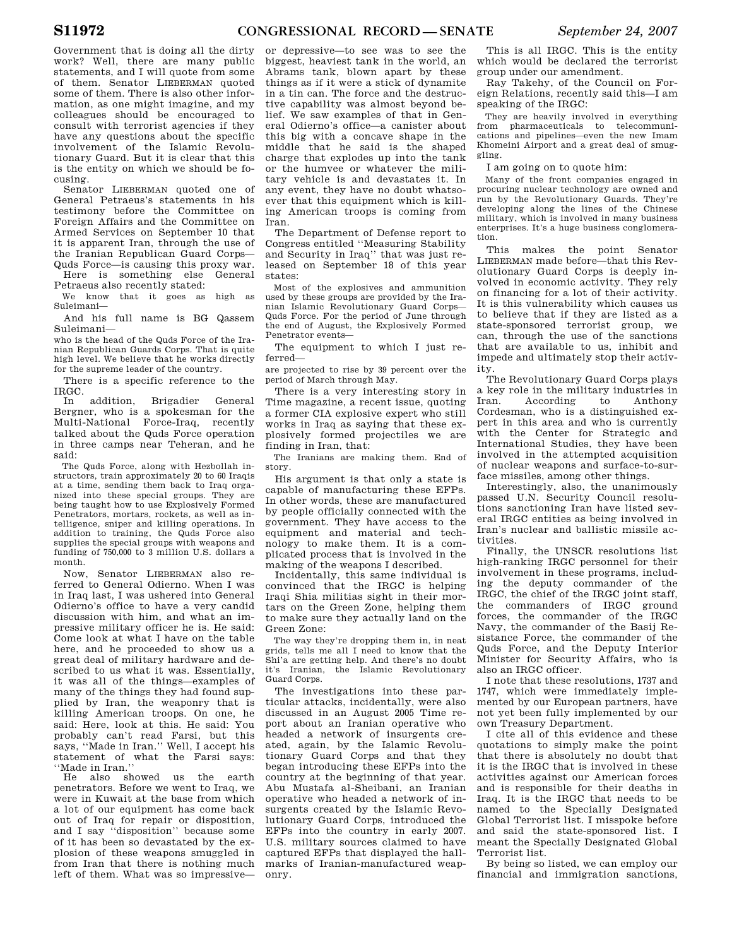Government that is doing all the dirty work? Well, there are many public statements, and I will quote from some of them. Senator LIEBERMAN quoted some of them. There is also other information, as one might imagine, and my colleagues should be encouraged to consult with terrorist agencies if they have any questions about the specific involvement of the Islamic Revolutionary Guard. But it is clear that this is the entity on which we should be focusing.

Senator LIEBERMAN quoted one of General Petraeus's statements in his testimony before the Committee on Foreign Affairs and the Committee on Armed Services on September 10 that it is apparent Iran, through the use of the Iranian Republican Guard Corps— Quds Force—is causing this proxy war. Here is something else General

Petraeus also recently stated:

We know that it goes as high as Suleimani—

And his full name is BG Qassem Suleimani—

who is the head of the Quds Force of the Iranian Republican Guards Corps. That is quite high level. We believe that he works directly for the supreme leader of the country.

There is a specific reference to the IRGC.

addition, Brigadier General Bergner, who is a spokesman for the Multi-National Force-Iraq, recently talked about the Quds Force operation in three camps near Teheran, and he said:

The Quds Force, along with Hezbollah instructors, train approximately 20 to 60 Iraqis at a time, sending them back to Iraq organized into these special groups. They are being taught how to use Explosively Formed Penetrators, mortars, rockets, as well as intelligence, sniper and killing operations. In addition to training, the Quds Force also supplies the special groups with weapons and funding of 750,000 to 3 million U.S. dollars a month.

Now, Senator LIEBERMAN also referred to General Odierno. When I was in Iraq last, I was ushered into General Odierno's office to have a very candid discussion with him, and what an impressive military officer he is. He said: Come look at what I have on the table here, and he proceeded to show us a great deal of military hardware and described to us what it was. Essentially, it was all of the things—examples of many of the things they had found supplied by Iran, the weaponry that is killing American troops. On one, he said: Here, look at this. He said: You probably can't read Farsi, but this says, ''Made in Iran.'' Well, I accept his statement of what the Farsi says: ''Made in Iran.''

He also showed us the earth penetrators. Before we went to Iraq, we were in Kuwait at the base from which a lot of our equipment has come back out of Iraq for repair or disposition, and I say ''disposition'' because some of it has been so devastated by the explosion of these weapons smuggled in from Iran that there is nothing much left of them. What was so impressive—

or depressive—to see was to see the biggest, heaviest tank in the world, an Abrams tank, blown apart by these things as if it were a stick of dynamite in a tin can. The force and the destructive capability was almost beyond belief. We saw examples of that in General Odierno's office—a canister about this big with a concave shape in the middle that he said is the shaped charge that explodes up into the tank or the humvee or whatever the military vehicle is and devastates it. In any event, they have no doubt whatsoever that this equipment which is killing American troops is coming from Iran.

The Department of Defense report to Congress entitled ''Measuring Stability and Security in Iraq'' that was just released on September 18 of this year states:

Most of the explosives and ammunition used by these groups are provided by the Iranian Islamic Revolutionary Guard Corps— Quds Force. For the period of June through the end of August, the Explosively Formed Penetrator events—

The equipment to which I just referred—

are projected to rise by 39 percent over the period of March through May.

There is a very interesting story in Time magazine, a recent issue, quoting a former CIA explosive expert who still works in Iraq as saying that these explosively formed projectiles we are finding in Iran, that:

The Iranians are making them. End of story.

His argument is that only a state is capable of manufacturing these EFPs. In other words, these are manufactured by people officially connected with the government. They have access to the equipment and material and technology to make them. It is a complicated process that is involved in the making of the weapons I described.

Incidentally, this same individual is convinced that the IRGC is helping Iraqi Shia militias sight in their mortars on the Green Zone, helping them to make sure they actually land on the Green Zone:

The way they're dropping them in, in neat grids, tells me all I need to know that the Shi'a are getting help. And there's no doubt it's Iranian, the Islamic Revolutionary Guard Corps.

The investigations into these particular attacks, incidentally, were also discussed in an August 2005 Time report about an Iranian operative who headed a network of insurgents created, again, by the Islamic Revolutionary Guard Corps and that they began introducing these EFPs into the country at the beginning of that year. Abu Mustafa al-Sheibani, an Iranian operative who headed a network of insurgents created by the Islamic Revolutionary Guard Corps, introduced the EFPs into the country in early 2007. U.S. military sources claimed to have captured EFPs that displayed the hallmarks of Iranian-manufactured weaponry.

This is all IRGC. This is the entity which would be declared the terrorist group under our amendment.

Ray Takehy, of the Council on Foreign Relations, recently said this—I am speaking of the IRGC:

They are heavily involved in everything from pharmaceuticals to telecommunications and pipelines—even the new Imam Khomeini Airport and a great deal of smuggling.

I am going on to quote him:

Many of the front companies engaged in procuring nuclear technology are owned and run by the Revolutionary Guards. They're developing along the lines of the Chinese military, which is involved in many business enterprises. It's a huge business conglomeration.

This makes the point Senator LIEBERMAN made before—that this Revolutionary Guard Corps is deeply involved in economic activity. They rely on financing for a lot of their activity. It is this vulnerability which causes us to believe that if they are listed as a state-sponsored terrorist group, we can, through the use of the sanctions that are available to us, inhibit and impede and ultimately stop their activity.

The Revolutionary Guard Corps plays a key role in the military industries in Iran. According to Anthony Cordesman, who is a distinguished expert in this area and who is currently with the Center for Strategic and International Studies, they have been involved in the attempted acquisition of nuclear weapons and surface-to-surface missiles, among other things.

Interestingly, also, the unanimously passed U.N. Security Council resolutions sanctioning Iran have listed several IRGC entities as being involved in Iran's nuclear and ballistic missile activities.

Finally, the UNSCR resolutions list high-ranking IRGC personnel for their involvement in these programs, including the deputy commander of the IRGC, the chief of the IRGC joint staff, the commanders of IRGC ground forces, the commander of the IRGC Navy, the commander of the Basij Resistance Force, the commander of the Quds Force, and the Deputy Interior Minister for Security Affairs, who is also an IRGC officer.

I note that these resolutions, 1737 and 1747, which were immediately implemented by our European partners, have not yet been fully implemented by our own Treasury Department.

I cite all of this evidence and these quotations to simply make the point that there is absolutely no doubt that it is the IRGC that is involved in these activities against our American forces and is responsible for their deaths in Iraq. It is the IRGC that needs to be named to the Specially Designated Global Terrorist list. I misspoke before and said the state-sponsored list. I meant the Specially Designated Global Terrorist list.

By being so listed, we can employ our financial and immigration sanctions,